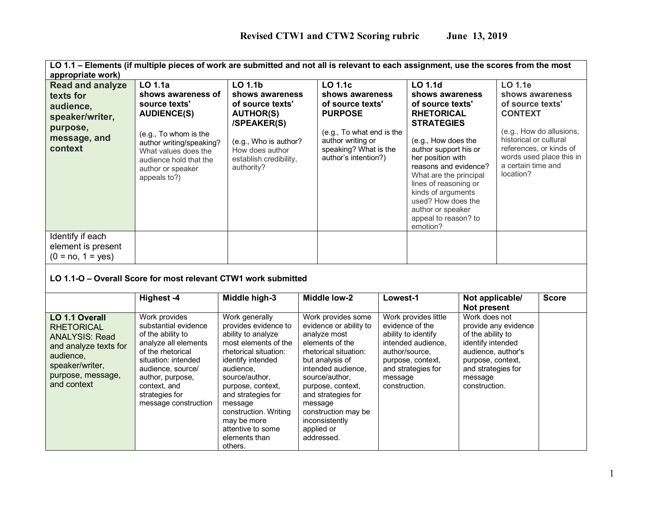| LO 1.1 – Elements (if multiple pieces of work are submitted and not all is relevant to each assignment, use the scores from the most<br>appropriate work) |                                                                                                                                                                |                                                                                                                     |  |                                                                                                                   |                  |                                                                                                                                                                                                                                                                                                                  |                                         |                                                                             |                                                                                 |
|-----------------------------------------------------------------------------------------------------------------------------------------------------------|----------------------------------------------------------------------------------------------------------------------------------------------------------------|---------------------------------------------------------------------------------------------------------------------|--|-------------------------------------------------------------------------------------------------------------------|------------------|------------------------------------------------------------------------------------------------------------------------------------------------------------------------------------------------------------------------------------------------------------------------------------------------------------------|-----------------------------------------|-----------------------------------------------------------------------------|---------------------------------------------------------------------------------|
| <b>Read and analyze</b>                                                                                                                                   | LO 1.1a                                                                                                                                                        | LO 1.1b                                                                                                             |  | <b>LO 1.1c</b>                                                                                                    |                  | <b>LO 1.1d</b>                                                                                                                                                                                                                                                                                                   |                                         | <b>LO 1.1e</b>                                                              |                                                                                 |
| texts for                                                                                                                                                 | shows awareness of                                                                                                                                             | shows awareness                                                                                                     |  | shows awareness                                                                                                   |                  | shows awareness                                                                                                                                                                                                                                                                                                  |                                         | shows awareness                                                             |                                                                                 |
|                                                                                                                                                           | source texts'                                                                                                                                                  | of source texts'                                                                                                    |  |                                                                                                                   | of source texts' |                                                                                                                                                                                                                                                                                                                  |                                         | of source texts'                                                            |                                                                                 |
| audience,<br>speaker/writer,<br>purpose,<br>message, and<br>context                                                                                       | <b>AUDIENCE(S)</b><br>(e.g., To whom is the<br>author writing/speaking?<br>What values does the<br>audience hold that the<br>author or speaker<br>appeals to?) | <b>AUTHOR(S)</b><br>/SPEAKER(S)<br>(e.g., Who is author?<br>How does author<br>establish credibility,<br>authority? |  | <b>PURPOSE</b><br>(e.g., To what end is the<br>author writing or<br>speaking? What is the<br>author's intention?) |                  | of source texts'<br><b>RHETORICAL</b><br><b>STRATEGIES</b><br>(e.g., How does the<br>author support his or<br>her position with<br>reasons and evidence?<br>What are the principal<br>lines of reasoning or<br>kinds of arguments<br>used? How does the<br>author or speaker<br>appeal to reason? to<br>emotion? |                                         | <b>CONTEXT</b><br>historical or cultural<br>a certain time and<br>location? | (e.g., How do allusions,<br>references, or kinds of<br>words used place this in |
| Identify if each<br>element is present<br>$(0 = no, 1 = yes)$                                                                                             |                                                                                                                                                                |                                                                                                                     |  |                                                                                                                   |                  |                                                                                                                                                                                                                                                                                                                  |                                         |                                                                             |                                                                                 |
| LO 1.1-O - Overall Score for most relevant CTW1 work submitted                                                                                            |                                                                                                                                                                |                                                                                                                     |  |                                                                                                                   |                  |                                                                                                                                                                                                                                                                                                                  |                                         |                                                                             |                                                                                 |
|                                                                                                                                                           | Highest -4                                                                                                                                                     | Middle high-3                                                                                                       |  | <b>Middle low-2</b>                                                                                               | Lowest-1         |                                                                                                                                                                                                                                                                                                                  | Not applicable/<br><b>Not present</b>   |                                                                             | <b>Score</b>                                                                    |
| LO 1.1 Overall                                                                                                                                            | Work provides                                                                                                                                                  | Work generally                                                                                                      |  | Work provides some                                                                                                |                  | Work provides little                                                                                                                                                                                                                                                                                             | Work does not                           |                                                                             |                                                                                 |
| <b>RHETORICAL</b>                                                                                                                                         | substantial evidence                                                                                                                                           | provides evidence to                                                                                                |  | evidence or ability to                                                                                            |                  | evidence of the                                                                                                                                                                                                                                                                                                  |                                         | provide any evidence                                                        |                                                                                 |
| <b>ANALYSIS: Read</b>                                                                                                                                     | of the ability to                                                                                                                                              | ability to analyze                                                                                                  |  | analyze most                                                                                                      |                  | ability to identify                                                                                                                                                                                                                                                                                              | of the ability to                       |                                                                             |                                                                                 |
| and analyze texts for                                                                                                                                     | analyze all elements                                                                                                                                           | most elements of the                                                                                                |  | elements of the                                                                                                   |                  | intended audience,                                                                                                                                                                                                                                                                                               | identify intended                       |                                                                             |                                                                                 |
| audience,                                                                                                                                                 | of the rhetorical                                                                                                                                              | rhetorical situation:                                                                                               |  | rhetorical situation:                                                                                             | author/source,   |                                                                                                                                                                                                                                                                                                                  | audience, author's                      |                                                                             |                                                                                 |
| speaker/writer,                                                                                                                                           | situation: intended<br>audience, source/                                                                                                                       | identify intended<br>audience,                                                                                      |  | but analysis of<br>intended audience,                                                                             |                  | purpose, context,<br>and strategies for                                                                                                                                                                                                                                                                          | purpose, context,<br>and strategies for |                                                                             |                                                                                 |
| purpose, message,                                                                                                                                         | author, purpose,                                                                                                                                               | source/author,                                                                                                      |  | source/author,                                                                                                    | message          |                                                                                                                                                                                                                                                                                                                  | message                                 |                                                                             |                                                                                 |
| and context                                                                                                                                               | context, and                                                                                                                                                   | purpose, context,                                                                                                   |  | purpose, context,                                                                                                 | construction.    |                                                                                                                                                                                                                                                                                                                  | construction.                           |                                                                             |                                                                                 |
|                                                                                                                                                           | strategies for                                                                                                                                                 | and strategies for                                                                                                  |  | and strategies for                                                                                                |                  |                                                                                                                                                                                                                                                                                                                  |                                         |                                                                             |                                                                                 |
|                                                                                                                                                           | message construction                                                                                                                                           | message                                                                                                             |  | message                                                                                                           |                  |                                                                                                                                                                                                                                                                                                                  |                                         |                                                                             |                                                                                 |
|                                                                                                                                                           |                                                                                                                                                                | construction. Writing                                                                                               |  | construction may be                                                                                               |                  |                                                                                                                                                                                                                                                                                                                  |                                         |                                                                             |                                                                                 |
|                                                                                                                                                           |                                                                                                                                                                | may be more                                                                                                         |  | inconsistently                                                                                                    |                  |                                                                                                                                                                                                                                                                                                                  |                                         |                                                                             |                                                                                 |
|                                                                                                                                                           |                                                                                                                                                                | attentive to some                                                                                                   |  | applied or                                                                                                        |                  |                                                                                                                                                                                                                                                                                                                  |                                         |                                                                             |                                                                                 |
|                                                                                                                                                           |                                                                                                                                                                | elements than<br>others.                                                                                            |  | addressed.                                                                                                        |                  |                                                                                                                                                                                                                                                                                                                  |                                         |                                                                             |                                                                                 |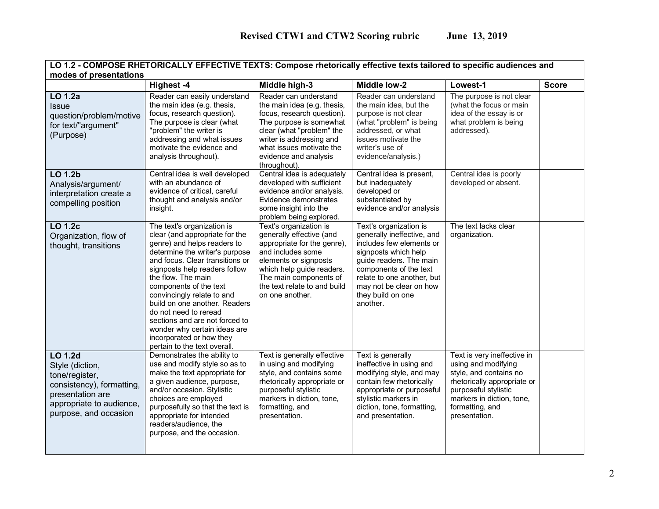| LO 1.2 - COMPOSE RHETORICALLY EFFECTIVE TEXTS: Compose rhetorically effective texts tailored to specific audiences and |
|------------------------------------------------------------------------------------------------------------------------|
| modes of presentations                                                                                                 |

| moaco or presentations                                                                                                                                    | Highest -4                                                                                                                                                                                                                                                                                                                                                                                                                                                              | Middle high-3                                                                                                                                                                                                                               | <b>Middle low-2</b>                                                                                                                                                                                                                                     | Lowest-1                                                                                                                                                                                             | <b>Score</b> |
|-----------------------------------------------------------------------------------------------------------------------------------------------------------|-------------------------------------------------------------------------------------------------------------------------------------------------------------------------------------------------------------------------------------------------------------------------------------------------------------------------------------------------------------------------------------------------------------------------------------------------------------------------|---------------------------------------------------------------------------------------------------------------------------------------------------------------------------------------------------------------------------------------------|---------------------------------------------------------------------------------------------------------------------------------------------------------------------------------------------------------------------------------------------------------|------------------------------------------------------------------------------------------------------------------------------------------------------------------------------------------------------|--------------|
| LO 1.2a<br><b>Issue</b><br>question/problem/motive<br>for text/"argument"<br>(Purpose)                                                                    | Reader can easily understand<br>the main idea (e.g. thesis,<br>focus, research question).<br>The purpose is clear (what<br>"problem" the writer is<br>addressing and what issues<br>motivate the evidence and<br>analysis throughout).                                                                                                                                                                                                                                  | Reader can understand<br>the main idea (e.g. thesis,<br>focus, research question).<br>The purpose is somewhat<br>clear (what "problem" the<br>writer is addressing and<br>what issues motivate the<br>evidence and analysis<br>throughout). | Reader can understand<br>the main idea, but the<br>purpose is not clear<br>(what "problem" is being<br>addressed, or what<br>issues motivate the<br>writer's use of<br>evidence/analysis.)                                                              | The purpose is not clear<br>(what the focus or main<br>idea of the essay is or<br>what problem is being<br>addressed).                                                                               |              |
| <b>LO 1.2b</b><br>Analysis/argument/<br>interpretation create a<br>compelling position                                                                    | Central idea is well developed<br>with an abundance of<br>evidence of critical, careful<br>thought and analysis and/or<br>insight.                                                                                                                                                                                                                                                                                                                                      | Central idea is adequately<br>developed with sufficient<br>evidence and/or analysis.<br>Evidence demonstrates<br>some insight into the<br>problem being explored.                                                                           | Central idea is present,<br>but inadequately<br>developed or<br>substantiated by<br>evidence and/or analysis                                                                                                                                            | Central idea is poorly<br>developed or absent.                                                                                                                                                       |              |
| <b>LO 1.2c</b><br>Organization, flow of<br>thought, transitions                                                                                           | The text's organization is<br>clear (and appropriate for the<br>genre) and helps readers to<br>determine the writer's purpose<br>and focus. Clear transitions or<br>signposts help readers follow<br>the flow. The main<br>components of the text<br>convincingly relate to and<br>build on one another. Readers<br>do not need to reread<br>sections and are not forced to<br>wonder why certain ideas are<br>incorporated or how they<br>pertain to the text overall. | Text's organization is<br>generally effective (and<br>appropriate for the genre),<br>and includes some<br>elements or signposts<br>which help guide readers.<br>The main components of<br>the text relate to and build<br>on one another.   | Text's organization is<br>generally ineffective, and<br>includes few elements or<br>signposts which help<br>guide readers. The main<br>components of the text<br>relate to one another, but<br>may not be clear on how<br>they build on one<br>another. | The text lacks clear<br>organization.                                                                                                                                                                |              |
| <b>LO 1.2d</b><br>Style (diction,<br>tone/register,<br>consistency), formatting,<br>presentation are<br>appropriate to audience,<br>purpose, and occasion | Demonstrates the ability to<br>use and modify style so as to<br>make the text appropriate for<br>a given audience, purpose,<br>and/or occasion. Stylistic<br>choices are employed<br>purposefully so that the text is<br>appropriate for intended<br>readers/audience, the<br>purpose, and the occasion.                                                                                                                                                                | Text is generally effective<br>in using and modifying<br>style, and contains some<br>rhetorically appropriate or<br>purposeful stylistic<br>markers in diction, tone,<br>formatting, and<br>presentation.                                   | Text is generally<br>ineffective in using and<br>modifying style, and may<br>contain few rhetorically<br>appropriate or purposeful<br>stylistic markers in<br>diction, tone, formatting,<br>and presentation.                                           | Text is very ineffective in<br>using and modifying<br>style, and contains no<br>rhetorically appropriate or<br>purposeful stylistic<br>markers in diction, tone,<br>formatting, and<br>presentation. |              |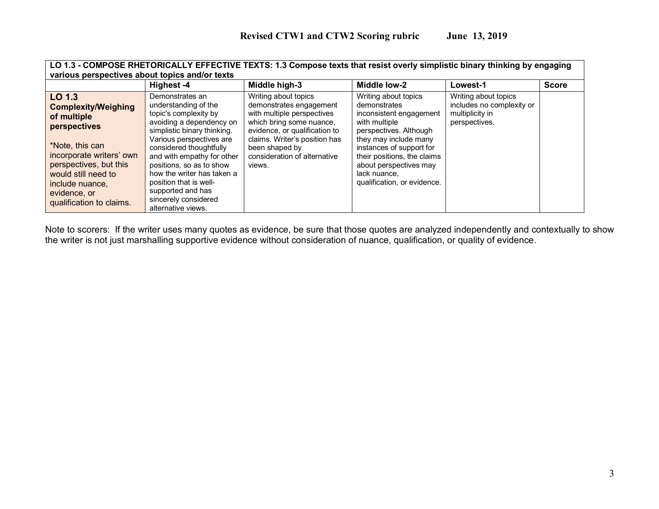| various perspectives about topics and/or texts                                                                                                                                                                                            |                                                                                                                                                                                                                                                                                                                                                                         | LO 1.3 - COMPOSE RHETORICALLY EFFECTIVE TEXTS: 1.3 Compose texts that resist overly simplistic binary thinking by engaging                                                                                                              |                                                                                                                                                                                                                                                                         |                                                                                       |              |
|-------------------------------------------------------------------------------------------------------------------------------------------------------------------------------------------------------------------------------------------|-------------------------------------------------------------------------------------------------------------------------------------------------------------------------------------------------------------------------------------------------------------------------------------------------------------------------------------------------------------------------|-----------------------------------------------------------------------------------------------------------------------------------------------------------------------------------------------------------------------------------------|-------------------------------------------------------------------------------------------------------------------------------------------------------------------------------------------------------------------------------------------------------------------------|---------------------------------------------------------------------------------------|--------------|
|                                                                                                                                                                                                                                           | Highest -4                                                                                                                                                                                                                                                                                                                                                              | Middle high-3                                                                                                                                                                                                                           | Middle low-2                                                                                                                                                                                                                                                            | Lowest-1                                                                              | <b>Score</b> |
| LO 1.3<br><b>Complexity/Weighing</b><br>of multiple<br><b>perspectives</b><br>*Note, this can<br>incorporate writers' own<br>perspectives, but this<br>would still need to<br>include nuance,<br>evidence, or<br>qualification to claims. | Demonstrates an<br>understanding of the<br>topic's complexity by<br>avoiding a dependency on<br>simplistic binary thinking.<br>Various perspectives are<br>considered thoughtfully<br>and with empathy for other<br>positions, so as to show<br>how the writer has taken a<br>position that is well-<br>supported and has<br>sincerely considered<br>alternative views. | Writing about topics<br>demonstrates engagement<br>with multiple perspectives<br>which bring some nuance,<br>evidence, or qualification to<br>claims. Writer's position has<br>been shaped by<br>consideration of alternative<br>views. | Writing about topics<br>demonstrates<br>inconsistent engagement<br>with multiple<br>perspectives. Although<br>they may include many<br>instances of support for<br>their positions, the claims<br>about perspectives may<br>lack nuance,<br>qualification, or evidence. | Writing about topics<br>includes no complexity or<br>multiplicity in<br>perspectives. |              |

Note to scorers: If the writer uses many quotes as evidence, be sure that those quotes are analyzed independently and contextually to show the writer is not just marshalling supportive evidence without consideration of nuance, qualification, or quality of evidence.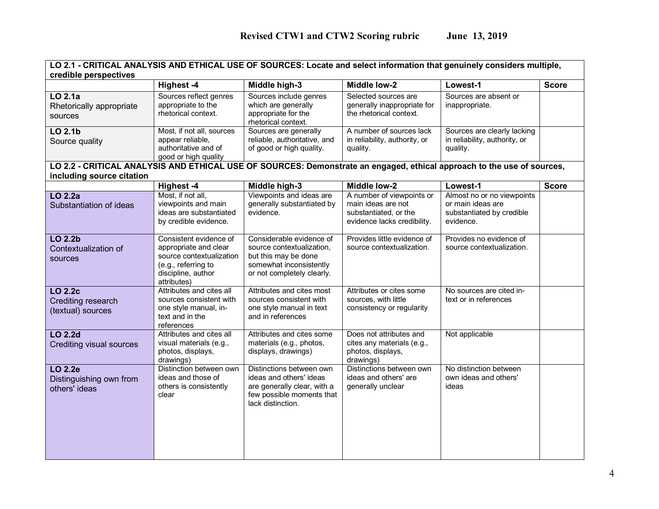| LO 2.1 - CRITICAL ANALYSIS AND ETHICAL USE OF SOURCES: Locate and select information that genuinely considers multiple, |                                                     |                                                        |                                                       |                                                 |              |
|-------------------------------------------------------------------------------------------------------------------------|-----------------------------------------------------|--------------------------------------------------------|-------------------------------------------------------|-------------------------------------------------|--------------|
| credible perspectives                                                                                                   |                                                     |                                                        |                                                       |                                                 |              |
| LO 2.1a                                                                                                                 | Highest -4<br>Sources reflect genres                | Middle high-3<br>Sources include genres                | Middle low-2<br>Selected sources are                  | Lowest-1<br>Sources are absent or               | <b>Score</b> |
| Rhetorically appropriate                                                                                                | appropriate to the                                  | which are generally                                    | generally inappropriate for                           | inappropriate.                                  |              |
| sources                                                                                                                 | rhetorical context.                                 | appropriate for the<br>rhetorical context.             | the rhetorical context.                               |                                                 |              |
| $LO$ 2.1b                                                                                                               | Most, if not all, sources                           | Sources are generally                                  | A number of sources lack                              | Sources are clearly lacking                     |              |
| Source quality                                                                                                          | appear reliable,                                    | reliable, authoritative, and                           | in reliability, authority, or                         | in reliability, authority, or                   |              |
|                                                                                                                         | authoritative and of<br>good or high quality        | of good or high quality.                               | quality.                                              | quality.                                        |              |
| LO 2.2 - CRITICAL ANALYSIS AND ETHICAL USE OF SOURCES: Demonstrate an engaged, ethical approach to the use of sources,  |                                                     |                                                        |                                                       |                                                 |              |
| including source citation                                                                                               |                                                     |                                                        |                                                       |                                                 |              |
|                                                                                                                         | <b>Highest-4</b>                                    | Middle high-3                                          | Middle low-2                                          | Lowest-1                                        | <b>Score</b> |
| LO 2.2a                                                                                                                 | Most, if not all,<br>viewpoints and main            | Viewpoints and ideas are<br>generally substantiated by | A number of viewpoints or<br>main ideas are not       | Almost no or no viewpoints<br>or main ideas are |              |
| Substantiation of ideas                                                                                                 | ideas are substantiated                             | evidence.                                              | substantiated, or the                                 | substantiated by credible                       |              |
|                                                                                                                         | by credible evidence.                               |                                                        | evidence lacks credibility.                           | evidence.                                       |              |
| LO 2.2b                                                                                                                 | Consistent evidence of                              | Considerable evidence of                               | Provides little evidence of                           | Provides no evidence of                         |              |
| Contextualization of                                                                                                    | appropriate and clear                               | source contextualization,                              | source contextualization.                             | source contextualization.                       |              |
| sources                                                                                                                 | source contextualization<br>(e.g., referring to     | but this may be done<br>somewhat inconsistently        |                                                       |                                                 |              |
|                                                                                                                         | discipline, author                                  | or not completely clearly.                             |                                                       |                                                 |              |
|                                                                                                                         | attributes)                                         |                                                        |                                                       |                                                 |              |
| LO 2.2c                                                                                                                 | Attributes and cites all                            | Attributes and cites most                              | Attributes or cites some                              | No sources are cited in-                        |              |
| Crediting research<br>(textual) sources                                                                                 | sources consistent with<br>one style manual, in-    | sources consistent with<br>one style manual in text    | sources, with little<br>consistency or regularity     | text or in references                           |              |
|                                                                                                                         | text and in the                                     | and in references                                      |                                                       |                                                 |              |
|                                                                                                                         | references                                          |                                                        |                                                       |                                                 |              |
| <b>LO 2.2d</b>                                                                                                          | Attributes and cites all<br>visual materials (e.g., | Attributes and cites some<br>materials (e.g., photos,  | Does not attributes and<br>cites any materials (e.g., | Not applicable                                  |              |
| <b>Crediting visual sources</b>                                                                                         | photos, displays,                                   | displays, drawings)                                    | photos, displays,                                     |                                                 |              |
|                                                                                                                         | drawings)                                           |                                                        | drawings)                                             |                                                 |              |
| LO 2.2e                                                                                                                 | Distinction between own<br>ideas and those of       | Distinctions between own<br>ideas and others' ideas    | Distinctions between own<br>ideas and others' are     | No distinction between<br>own ideas and others' |              |
| Distinguishing own from<br>others' ideas                                                                                | others is consistently                              | are generally clear, with a                            | generally unclear                                     | ideas                                           |              |
|                                                                                                                         | clear                                               | few possible moments that                              |                                                       |                                                 |              |
|                                                                                                                         |                                                     | lack distinction.                                      |                                                       |                                                 |              |
|                                                                                                                         |                                                     |                                                        |                                                       |                                                 |              |
|                                                                                                                         |                                                     |                                                        |                                                       |                                                 |              |
|                                                                                                                         |                                                     |                                                        |                                                       |                                                 |              |
|                                                                                                                         |                                                     |                                                        |                                                       |                                                 |              |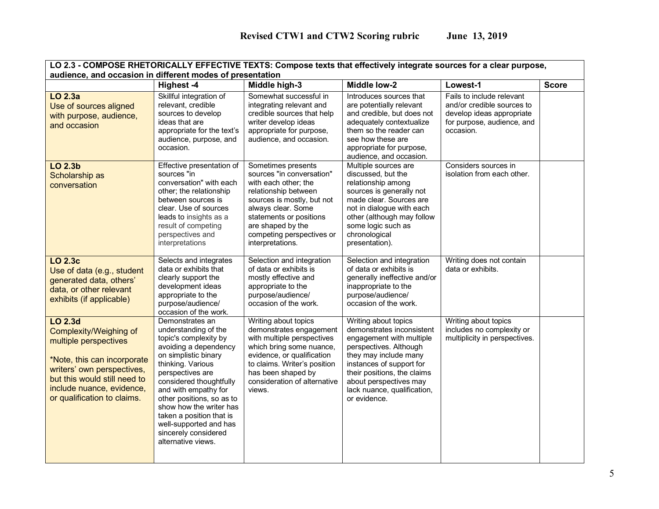| LO 2.3 - COMPOSE RHETORICALLY EFFECTIVE TEXTS: Compose texts that effectively integrate sources for a clear purpose,                                                                                                       |                                                                                                                                                                                                                                                                                                                                                                           |                                                                                                                                                                                                                                                      |                                                                                                                                                                                                                                                                      |                                                                                                                                 |              |
|----------------------------------------------------------------------------------------------------------------------------------------------------------------------------------------------------------------------------|---------------------------------------------------------------------------------------------------------------------------------------------------------------------------------------------------------------------------------------------------------------------------------------------------------------------------------------------------------------------------|------------------------------------------------------------------------------------------------------------------------------------------------------------------------------------------------------------------------------------------------------|----------------------------------------------------------------------------------------------------------------------------------------------------------------------------------------------------------------------------------------------------------------------|---------------------------------------------------------------------------------------------------------------------------------|--------------|
| audience, and occasion in different modes of presentation                                                                                                                                                                  |                                                                                                                                                                                                                                                                                                                                                                           |                                                                                                                                                                                                                                                      |                                                                                                                                                                                                                                                                      |                                                                                                                                 |              |
|                                                                                                                                                                                                                            | Highest -4                                                                                                                                                                                                                                                                                                                                                                | Middle high-3                                                                                                                                                                                                                                        | <b>Middle low-2</b>                                                                                                                                                                                                                                                  | Lowest-1                                                                                                                        | <b>Score</b> |
| LO 2.3a<br>Use of sources aligned<br>with purpose, audience,<br>and occasion                                                                                                                                               | Skillful integration of<br>relevant, credible<br>sources to develop<br>ideas that are<br>appropriate for the text's<br>audience, purpose, and<br>occasion.                                                                                                                                                                                                                | Somewhat successful in<br>integrating relevant and<br>credible sources that help<br>writer develop ideas<br>appropriate for purpose,<br>audience, and occasion.                                                                                      | Introduces sources that<br>are potentially relevant<br>and credible, but does not<br>adequately contextualize<br>them so the reader can<br>see how these are<br>appropriate for purpose,<br>audience, and occasion.                                                  | Fails to include relevant<br>and/or credible sources to<br>develop ideas appropriate<br>for purpose, audience, and<br>occasion. |              |
| LO 2.3b<br>Scholarship as<br>conversation                                                                                                                                                                                  | Effective presentation of<br>sources "in<br>conversation" with each<br>other; the relationship<br>between sources is<br>clear. Use of sources<br>leads to insights as a<br>result of competing<br>perspectives and<br>interpretations                                                                                                                                     | Sometimes presents<br>sources "in conversation"<br>with each other; the<br>relationship between<br>sources is mostly, but not<br>always clear. Some<br>statements or positions<br>are shaped by the<br>competing perspectives or<br>interpretations. | Multiple sources are<br>discussed, but the<br>relationship among<br>sources is generally not<br>made clear. Sources are<br>not in dialogue with each<br>other (although may follow<br>some logic such as<br>chronological<br>presentation).                          | Considers sources in<br>isolation from each other.                                                                              |              |
| <b>LO 2.3c</b><br>Use of data (e.g., student<br>generated data, others'<br>data, or other relevant<br>exhibits (if applicable)                                                                                             | Selects and integrates<br>data or exhibits that<br>clearly support the<br>development ideas<br>appropriate to the<br>purpose/audience/<br>occasion of the work.                                                                                                                                                                                                           | Selection and integration<br>of data or exhibits is<br>mostly effective and<br>appropriate to the<br>purpose/audience/<br>occasion of the work.                                                                                                      | Selection and integration<br>of data or exhibits is<br>generally ineffective and/or<br>inappropriate to the<br>purpose/audience/<br>occasion of the work.                                                                                                            | Writing does not contain<br>data or exhibits.                                                                                   |              |
| LO 2.3d<br><b>Complexity/Weighing of</b><br>multiple perspectives<br>*Note, this can incorporate<br>writers' own perspectives,<br>but this would still need to<br>include nuance, evidence,<br>or qualification to claims. | Demonstrates an<br>understanding of the<br>topic's complexity by<br>avoiding a dependency<br>on simplistic binary<br>thinking. Various<br>perspectives are<br>considered thoughtfully<br>and with empathy for<br>other positions, so as to<br>show how the writer has<br>taken a position that is<br>well-supported and has<br>sincerely considered<br>alternative views. | Writing about topics<br>demonstrates engagement<br>with multiple perspectives<br>which bring some nuance,<br>evidence, or qualification<br>to claims. Writer's position<br>has been shaped by<br>consideration of alternative<br>views.              | Writing about topics<br>demonstrates inconsistent<br>engagement with multiple<br>perspectives. Although<br>they may include many<br>instances of support for<br>their positions, the claims<br>about perspectives may<br>lack nuance, qualification,<br>or evidence. | Writing about topics<br>includes no complexity or<br>multiplicity in perspectives.                                              |              |